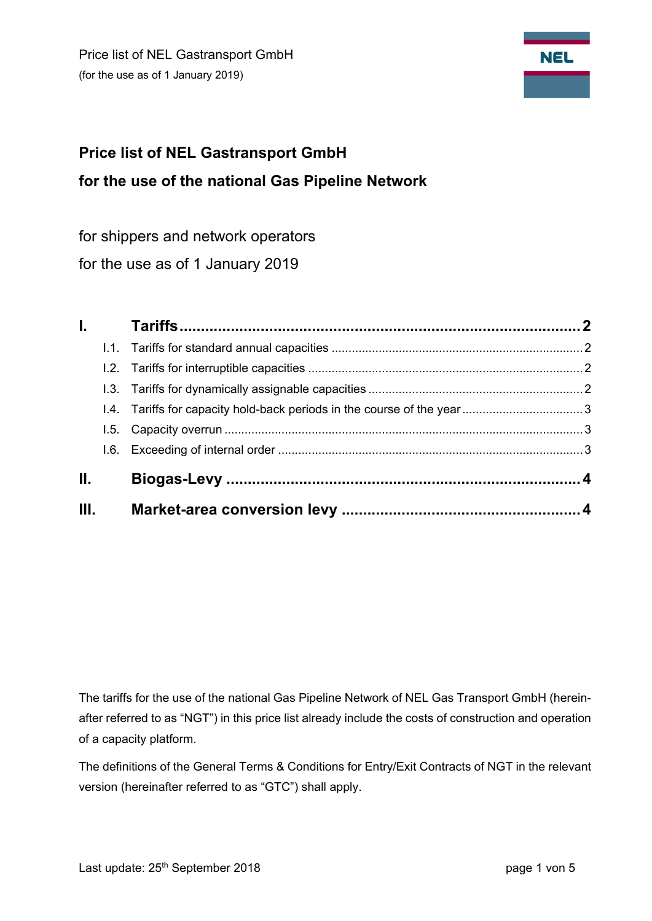

# **Price list of NEL Gastransport GmbH for the use of the national Gas Pipeline Network**

for shippers and network operators

for the use as of 1 January 2019

|     | $\mathbf{L}$ |  |
|-----|--------------|--|
|     |              |  |
|     |              |  |
|     |              |  |
|     |              |  |
|     |              |  |
|     |              |  |
| II. |              |  |
| Ш.  |              |  |

The tariffs for the use of the national Gas Pipeline Network of NEL Gas Transport GmbH (hereinafter referred to as "NGT") in this price list already include the costs of construction and operation of a capacity platform.

The definitions of the General Terms & Conditions for Entry/Exit Contracts of NGT in the relevant version (hereinafter referred to as "GTC") shall apply.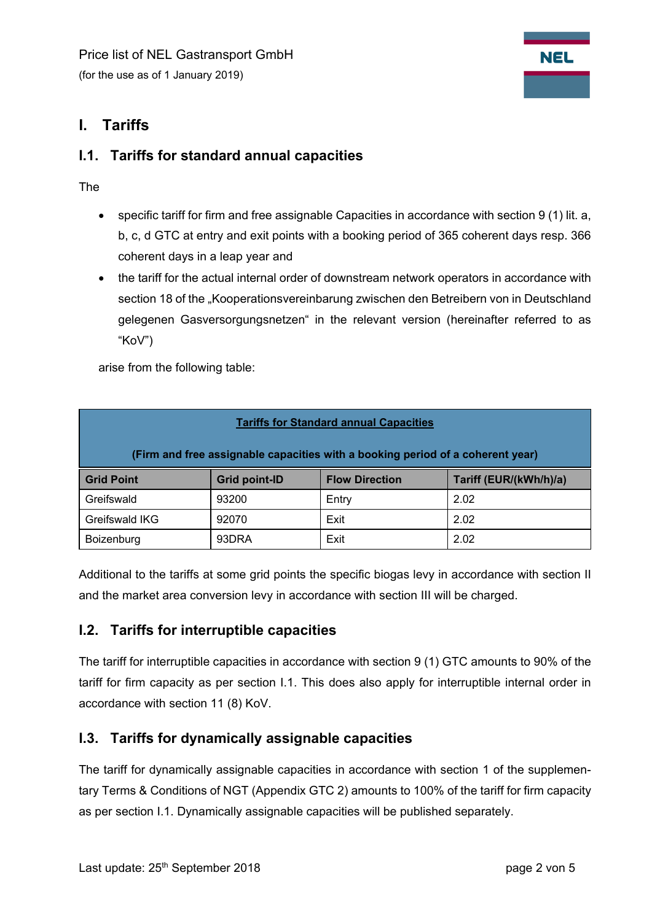

## **I. Tariffs**

#### **I.1. Tariffs for standard annual capacities**

The

- specific tariff for firm and free assignable Capacities in accordance with section 9 (1) lit. a, b, c, d GTC at entry and exit points with a booking period of 365 coherent days resp. 366 coherent days in a leap year and
- the tariff for the actual internal order of downstream network operators in accordance with section 18 of the "Kooperationsvereinbarung zwischen den Betreibern von in Deutschland gelegenen Gasversorgungsnetzen" in the relevant version (hereinafter referred to as "KoV")

arise from the following table:

| <b>Tariffs for Standard annual Capacities</b>                                  |                      |                       |                        |  |  |  |  |  |
|--------------------------------------------------------------------------------|----------------------|-----------------------|------------------------|--|--|--|--|--|
| (Firm and free assignable capacities with a booking period of a coherent year) |                      |                       |                        |  |  |  |  |  |
| <b>Grid Point</b>                                                              | <b>Grid point-ID</b> | <b>Flow Direction</b> | Tariff (EUR/(kWh/h)/a) |  |  |  |  |  |
| Greifswald                                                                     | 93200                | Entry                 | 2.02                   |  |  |  |  |  |
| Greifswald IKG                                                                 | 92070                | Exit                  | 2.02                   |  |  |  |  |  |
| Boizenburg                                                                     | 93DRA                | Exit                  | 2.02                   |  |  |  |  |  |

Additional to the tariffs at some grid points the specific biogas levy in accordance with section II and the market area conversion levy in accordance with section III will be charged.

## **I.2. Tariffs for interruptible capacities**

The tariff for interruptible capacities in accordance with section 9 (1) GTC amounts to 90% of the tariff for firm capacity as per section I.1. This does also apply for interruptible internal order in accordance with section 11 (8) KoV.

## **I.3. Tariffs for dynamically assignable capacities**

The tariff for dynamically assignable capacities in accordance with section 1 of the supplementary Terms & Conditions of NGT (Appendix GTC 2) amounts to 100% of the tariff for firm capacity as per section I.1. Dynamically assignable capacities will be published separately.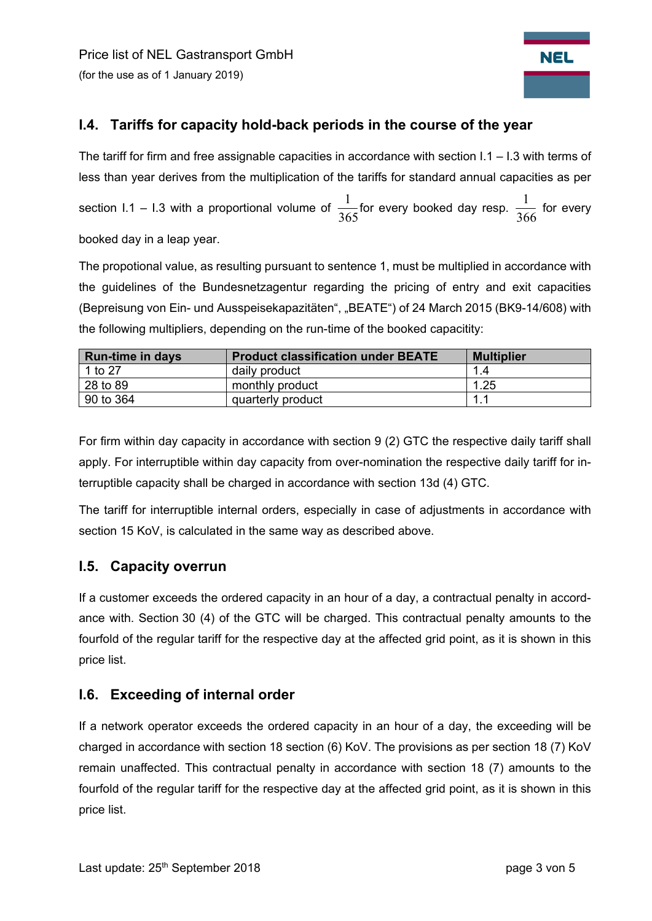

## **I.4. Tariffs for capacity hold-back periods in the course of the year**

The tariff for firm and free assignable capacities in accordance with section  $1.1 - 1.3$  with terms of less than year derives from the multiplication of the tariffs for standard annual capacities as per section I.1 – I.3 with a proportional volume of  $\frac{1}{365}$ for every booked day resp.  $\frac{1}{366}$  for every booked day in a leap year.

The propotional value, as resulting pursuant to sentence 1, must be multiplied in accordance with the guidelines of the Bundesnetzagentur regarding the pricing of entry and exit capacities (Bepreisung von Ein- und Ausspeisekapazitäten", "BEATE") of 24 March 2015 (BK9-14/608) with the following multipliers, depending on the run-time of the booked capacitity:

| <b>Run-time in days</b> | <b>Product classification under BEATE</b> | <b>Multiplier</b> |
|-------------------------|-------------------------------------------|-------------------|
| 1 to 27                 | daily product                             | 1.4               |
| 28 to 89                | monthly product                           | 1.25              |
| 90 to 364               | quarterly product                         | 1.1               |

For firm within day capacity in accordance with section 9 (2) GTC the respective daily tariff shall apply. For interruptible within day capacity from over-nomination the respective daily tariff for interruptible capacity shall be charged in accordance with section 13d (4) GTC.

The tariff for interruptible internal orders, especially in case of adjustments in accordance with section 15 KoV, is calculated in the same way as described above.

#### **I.5. Capacity overrun**

If a customer exceeds the ordered capacity in an hour of a day, a contractual penalty in accordance with. Section 30 (4) of the GTC will be charged. This contractual penalty amounts to the fourfold of the regular tariff for the respective day at the affected grid point, as it is shown in this price list.

#### **I.6. Exceeding of internal order**

If a network operator exceeds the ordered capacity in an hour of a day, the exceeding will be charged in accordance with section 18 section (6) KoV. The provisions as per section 18 (7) KoV remain unaffected. This contractual penalty in accordance with section 18 (7) amounts to the fourfold of the regular tariff for the respective day at the affected grid point, as it is shown in this price list.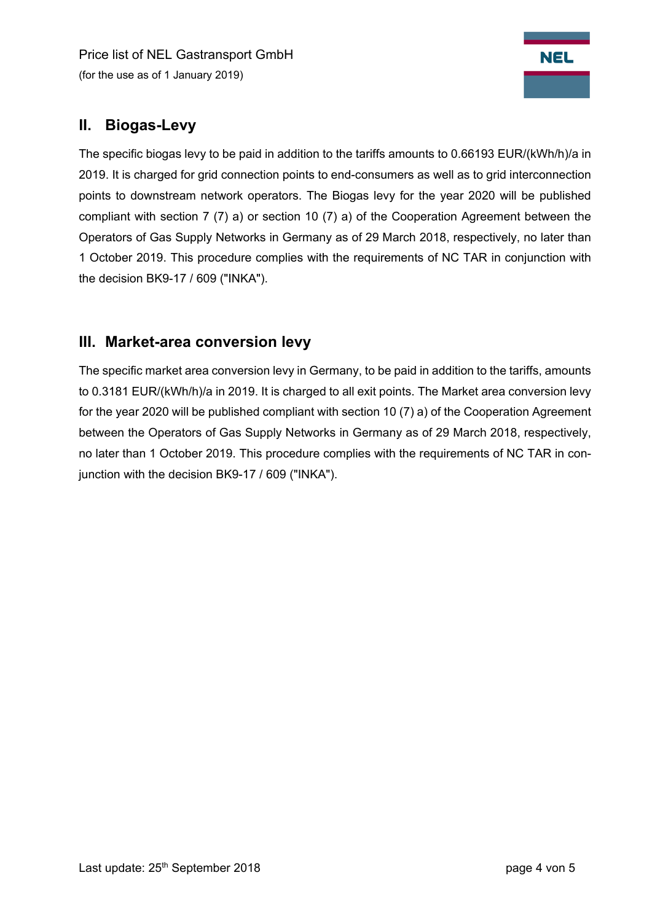Price list of NEL Gastransport GmbH (for the use as of 1 January 2019)



# **II. Biogas-Levy**

The specific biogas levy to be paid in addition to the tariffs amounts to 0.66193 EUR/(kWh/h)/a in 2019. It is charged for grid connection points to end-consumers as well as to grid interconnection points to downstream network operators. The Biogas levy for the year 2020 will be published compliant with section 7 (7) a) or section 10 (7) a) of the Cooperation Agreement between the Operators of Gas Supply Networks in Germany as of 29 March 2018, respectively, no later than 1 October 2019. This procedure complies with the requirements of NC TAR in conjunction with the decision BK9-17 / 609 ("INKA").

## **III. Market-area conversion levy**

The specific market area conversion levy in Germany, to be paid in addition to the tariffs, amounts to 0.3181 EUR/(kWh/h)/a in 2019. It is charged to all exit points. The Market area conversion levy for the year 2020 will be published compliant with section 10 (7) a) of the Cooperation Agreement between the Operators of Gas Supply Networks in Germany as of 29 March 2018, respectively, no later than 1 October 2019. This procedure complies with the requirements of NC TAR in conjunction with the decision BK9-17 / 609 ("INKA").